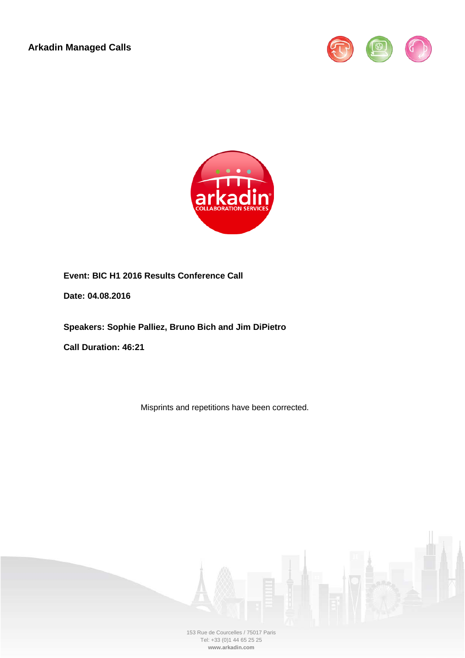**Arkadin Managed Calls**





**Event: BIC H1 2016 Results Conference Call**

**Date: 04.08.2016**

**Speakers: Sophie Palliez, Bruno Bich and Jim DiPietro**

**Call Duration: 46:21**

Misprints and repetitions have been corrected.

153 Rue de Courcelles / 75017 Paris Tel: +33 (0)1 44 65 25 25 **www.arkadin.com**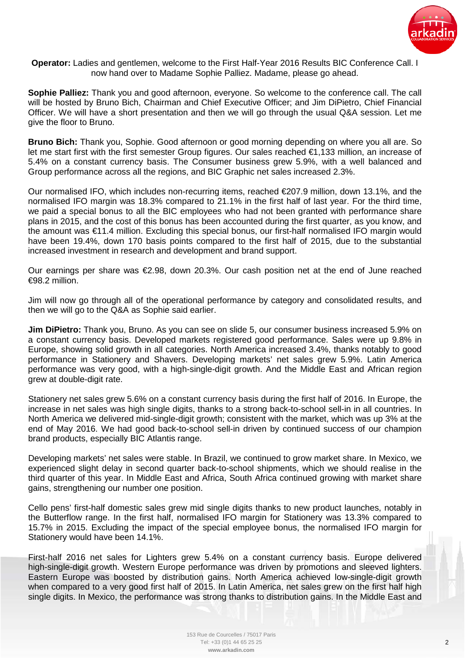

**Operator:** Ladies and gentlemen, welcome to the First Half-Year 2016 Results BIC Conference Call. I now hand over to Madame Sophie Palliez. Madame, please go ahead.

**Sophie Palliez:** Thank you and good afternoon, everyone. So welcome to the conference call. The call will be hosted by Bruno Bich, Chairman and Chief Executive Officer; and Jim DiPietro, Chief Financial Officer. We will have a short presentation and then we will go through the usual Q&A session. Let me give the floor to Bruno.

**Bruno Bich:** Thank you, Sophie. Good afternoon or good morning depending on where you all are. So let me start first with the first semester Group figures. Our sales reached €1,133 million, an increase of 5.4% on a constant currency basis. The Consumer business grew 5.9%, with a well balanced and Group performance across all the regions, and BIC Graphic net sales increased 2.3%.

Our normalised IFO, which includes non-recurring items, reached €207.9 million, down 13.1%, and the normalised IFO margin was 18.3% compared to 21.1% in the first half of last year. For the third time, we paid a special bonus to all the BIC employees who had not been granted with performance share plans in 2015, and the cost of this bonus has been accounted during the first quarter, as you know, and the amount was €11.4 million. Excluding this special bonus, our first-half normalised IFO margin would have been 19.4%, down 170 basis points compared to the first half of 2015, due to the substantial increased investment in research and development and brand support.

Our earnings per share was €2.98, down 20.3%. Our cash position net at the end of June reached €98.2 million.

Jim will now go through all of the operational performance by category and consolidated results, and then we will go to the Q&A as Sophie said earlier.

**Jim DiPietro:** Thank you, Bruno. As you can see on slide 5, our consumer business increased 5.9% on a constant currency basis. Developed markets registered good performance. Sales were up 9.8% in Europe, showing solid growth in all categories. North America increased 3.4%, thanks notably to good performance in Stationery and Shavers. Developing markets' net sales grew 5.9%. Latin America performance was very good, with a high-single-digit growth. And the Middle East and African region grew at double-digit rate.

Stationery net sales grew 5.6% on a constant currency basis during the first half of 2016. In Europe, the increase in net sales was high single digits, thanks to a strong back-to-school sell-in in all countries. In North America we delivered mid-single-digit growth; consistent with the market, which was up 3% at the end of May 2016. We had good back-to-school sell-in driven by continued success of our champion brand products, especially BIC Atlantis range.

Developing markets' net sales were stable. In Brazil, we continued to grow market share. In Mexico, we experienced slight delay in second quarter back-to-school shipments, which we should realise in the third quarter of this year. In Middle East and Africa, South Africa continued growing with market share gains, strengthening our number one position.

Cello pens' first-half domestic sales grew mid single digits thanks to new product launches, notably in the Butterflow range. In the first half, normalised IFO margin for Stationery was 13.3% compared to 15.7% in 2015. Excluding the impact of the special employee bonus, the normalised IFO margin for Stationery would have been 14.1%.

First-half 2016 net sales for Lighters grew 5.4% on a constant currency basis. Europe delivered high-single-digit growth. Western Europe performance was driven by promotions and sleeved lighters. Eastern Europe was boosted by distribution gains. North America achieved low-single-digit growth when compared to a very good first half of 2015. In Latin America, net sales grew on the first half high single digits. In Mexico, the performance was strong thanks to distribution gains. In the Middle East and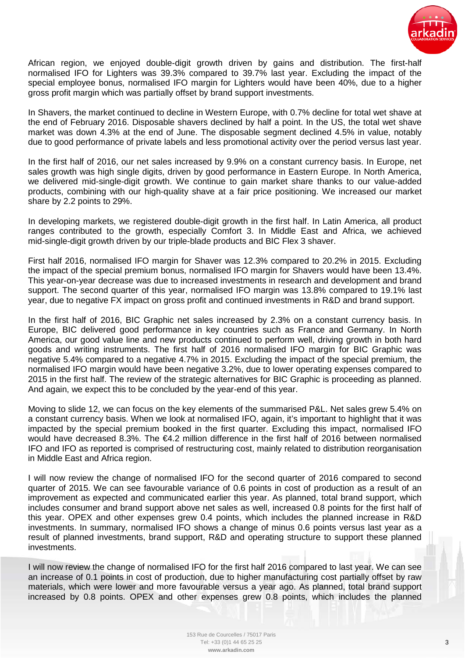

African region, we enjoyed double-digit growth driven by gains and distribution. The first-half normalised IFO for Lighters was 39.3% compared to 39.7% last year. Excluding the impact of the special employee bonus, normalised IFO margin for Lighters would have been 40%, due to a higher gross profit margin which was partially offset by brand support investments.

In Shavers, the market continued to decline in Western Europe, with 0.7% decline for total wet shave at the end of February 2016. Disposable shavers declined by half a point. In the US, the total wet shave market was down 4.3% at the end of June. The disposable segment declined 4.5% in value, notably due to good performance of private labels and less promotional activity over the period versus last year.

In the first half of 2016, our net sales increased by 9.9% on a constant currency basis. In Europe, net sales growth was high single digits, driven by good performance in Eastern Europe. In North America, we delivered mid-single-digit growth. We continue to gain market share thanks to our value-added products, combining with our high-quality shave at a fair price positioning. We increased our market share by 2.2 points to 29%.

In developing markets, we registered double-digit growth in the first half. In Latin America, all product ranges contributed to the growth, especially Comfort 3. In Middle East and Africa, we achieved mid-single-digit growth driven by our triple-blade products and BIC Flex 3 shaver.

First half 2016, normalised IFO margin for Shaver was 12.3% compared to 20.2% in 2015. Excluding the impact of the special premium bonus, normalised IFO margin for Shavers would have been 13.4%. This year-on-year decrease was due to increased investments in research and development and brand support. The second quarter of this year, normalised IFO margin was 13.8% compared to 19.1% last year, due to negative FX impact on gross profit and continued investments in R&D and brand support.

In the first half of 2016, BIC Graphic net sales increased by 2.3% on a constant currency basis. In Europe, BIC delivered good performance in key countries such as France and Germany. In North America, our good value line and new products continued to perform well, driving growth in both hard goods and writing instruments. The first half of 2016 normalised IFO margin for BIC Graphic was negative 5.4% compared to a negative 4.7% in 2015. Excluding the impact of the special premium, the normalised IFO margin would have been negative 3.2%, due to lower operating expenses compared to 2015 in the first half. The review of the strategic alternatives for BIC Graphic is proceeding as planned. And again, we expect this to be concluded by the year-end of this year.

Moving to slide 12, we can focus on the key elements of the summarised P&L. Net sales grew 5.4% on a constant currency basis. When we look at normalised IFO, again, it's important to highlight that it was impacted by the special premium booked in the first quarter. Excluding this impact, normalised IFO would have decreased 8.3%. The €4.2 million difference in the first half of 2016 between normalised IFO and IFO as reported is comprised of restructuring cost, mainly related to distribution reorganisation in Middle East and Africa region.

I will now review the change of normalised IFO for the second quarter of 2016 compared to second quarter of 2015. We can see favourable variance of 0.6 points in cost of production as a result of an improvement as expected and communicated earlier this year. As planned, total brand support, which includes consumer and brand support above net sales as well, increased 0.8 points for the first half of this year. OPEX and other expenses grew 0.4 points, which includes the planned increase in R&D investments. In summary, normalised IFO shows a change of minus 0.6 points versus last year as a result of planned investments, brand support, R&D and operating structure to support these planned investments.

I will now review the change of normalised IFO for the first half 2016 compared to last year. We can see an increase of 0.1 points in cost of production, due to higher manufacturing cost partially offset by raw materials, which were lower and more favourable versus a year ago. As planned, total brand support increased by 0.8 points. OPEX and other expenses grew 0.8 points, which includes the planned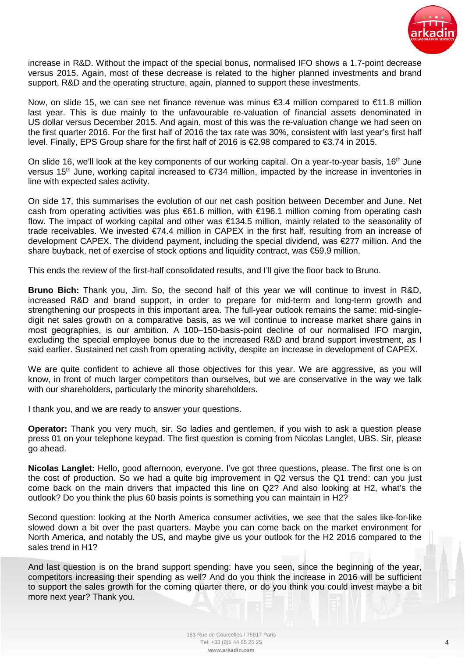

increase in R&D. Without the impact of the special bonus, normalised IFO shows a 1.7-point decrease versus 2015. Again, most of these decrease is related to the higher planned investments and brand support, R&D and the operating structure, again, planned to support these investments.

Now, on slide 15, we can see net finance revenue was minus €3.4 million compared to €11.8 million last year. This is due mainly to the unfavourable re-valuation of financial assets denominated in US dollar versus December 2015. And again, most of this was the re-valuation change we had seen on the first quarter 2016. For the first half of 2016 the tax rate was 30%, consistent with last year's first half level. Finally, EPS Group share for the first half of 2016 is €2.98 compared to €3.74 in 2015.

On slide 16, we'll look at the key components of our working capital. On a year-to-year basis,  $16<sup>th</sup>$  June versus 15<sup>th</sup> June, working capital increased to  $\epsilon$ 734 million, impacted by the increase in inventories in line with expected sales activity.

On side 17, this summarises the evolution of our net cash position between December and June. Net cash from operating activities was plus €61.6 million, with €196.1 million coming from operating cash flow. The impact of working capital and other was €134.5 million, mainly related to the seasonality of trade receivables. We invested €74.4 million in CAPEX in the first half, resulting from an increase of development CAPEX. The dividend payment, including the special dividend, was €277 million. And the share buyback, net of exercise of stock options and liquidity contract, was €59.9 million.

This ends the review of the first-half consolidated results, and I'll give the floor back to Bruno.

**Bruno Bich:** Thank you, Jim. So, the second half of this year we will continue to invest in R&D, increased R&D and brand support, in order to prepare for mid-term and long-term growth and strengthening our prospects in this important area. The full-year outlook remains the same: mid-singledigit net sales growth on a comparative basis, as we will continue to increase market share gains in most geographies, is our ambition. A 100–150-basis-point decline of our normalised IFO margin, excluding the special employee bonus due to the increased R&D and brand support investment, as I said earlier. Sustained net cash from operating activity, despite an increase in development of CAPEX.

We are quite confident to achieve all those objectives for this year. We are aggressive, as you will know, in front of much larger competitors than ourselves, but we are conservative in the way we talk with our shareholders, particularly the minority shareholders.

I thank you, and we are ready to answer your questions.

**Operator:** Thank you very much, sir. So ladies and gentlemen, if you wish to ask a question please press 01 on your telephone keypad. The first question is coming from Nicolas Langlet, UBS. Sir, please go ahead.

**Nicolas Langlet:** Hello, good afternoon, everyone. I've got three questions, please. The first one is on the cost of production. So we had a quite big improvement in Q2 versus the Q1 trend: can you just come back on the main drivers that impacted this line on Q2? And also looking at H2, what's the outlook? Do you think the plus 60 basis points is something you can maintain in H2?

Second question: looking at the North America consumer activities, we see that the sales like-for-like slowed down a bit over the past quarters. Maybe you can come back on the market environment for North America, and notably the US, and maybe give us your outlook for the H2 2016 compared to the sales trend in H1?

And last question is on the brand support spending: have you seen, since the beginning of the year, competitors increasing their spending as well? And do you think the increase in 2016 will be sufficient to support the sales growth for the coming quarter there, or do you think you could invest maybe a bit more next year? Thank you.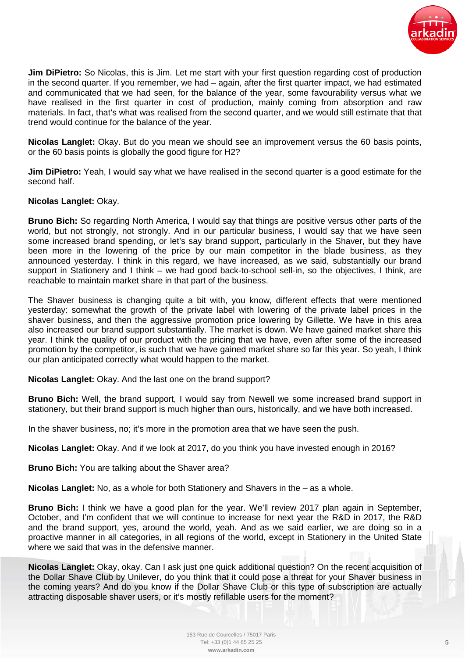

**Jim DiPietro:** So Nicolas, this is Jim. Let me start with your first question regarding cost of production in the second quarter. If you remember, we had – again, after the first quarter impact, we had estimated and communicated that we had seen, for the balance of the year, some favourability versus what we have realised in the first quarter in cost of production, mainly coming from absorption and raw materials. In fact, that's what was realised from the second quarter, and we would still estimate that that trend would continue for the balance of the year.

**Nicolas Langlet:** Okay. But do you mean we should see an improvement versus the 60 basis points, or the 60 basis points is globally the good figure for H2?

**Jim DiPietro:** Yeah, I would say what we have realised in the second quarter is a good estimate for the second half.

## **Nicolas Langlet:** Okay.

**Bruno Bich:** So regarding North America, I would say that things are positive versus other parts of the world, but not strongly, not strongly. And in our particular business, I would say that we have seen some increased brand spending, or let's say brand support, particularly in the Shaver, but they have been more in the lowering of the price by our main competitor in the blade business, as they announced yesterday. I think in this regard, we have increased, as we said, substantially our brand support in Stationery and I think – we had good back-to-school sell-in, so the objectives, I think, are reachable to maintain market share in that part of the business.

The Shaver business is changing quite a bit with, you know, different effects that were mentioned yesterday: somewhat the growth of the private label with lowering of the private label prices in the shaver business, and then the aggressive promotion price lowering by Gillette. We have in this area also increased our brand support substantially. The market is down. We have gained market share this year. I think the quality of our product with the pricing that we have, even after some of the increased promotion by the competitor, is such that we have gained market share so far this year. So yeah, I think our plan anticipated correctly what would happen to the market.

**Nicolas Langlet:** Okay. And the last one on the brand support?

**Bruno Bich:** Well, the brand support, I would say from Newell we some increased brand support in stationery, but their brand support is much higher than ours, historically, and we have both increased.

In the shaver business, no; it's more in the promotion area that we have seen the push.

**Nicolas Langlet:** Okay. And if we look at 2017, do you think you have invested enough in 2016?

**Bruno Bich:** You are talking about the Shaver area?

**Nicolas Langlet:** No, as a whole for both Stationery and Shavers in the – as a whole.

**Bruno Bich:** I think we have a good plan for the year. We'll review 2017 plan again in September, October, and I'm confident that we will continue to increase for next year the R&D in 2017, the R&D and the brand support, yes, around the world, yeah. And as we said earlier, we are doing so in a proactive manner in all categories, in all regions of the world, except in Stationery in the United State where we said that was in the defensive manner.

**Nicolas Langlet:** Okay, okay. Can I ask just one quick additional question? On the recent acquisition of the Dollar Shave Club by Unilever, do you think that it could pose a threat for your Shaver business in the coming years? And do you know if the Dollar Shave Club or this type of subscription are actually attracting disposable shaver users, or it's mostly refillable users for the moment?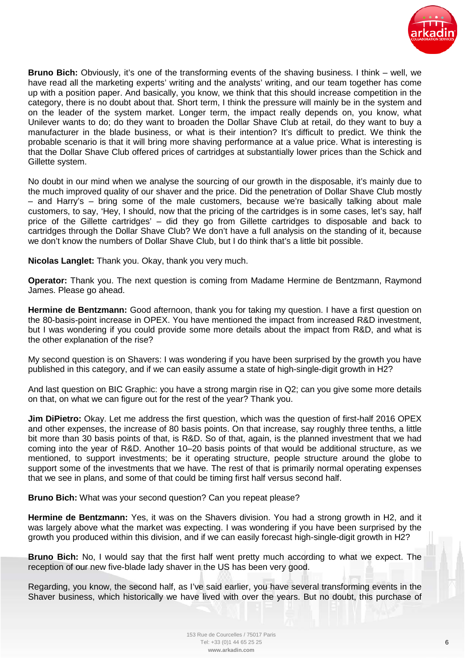

**Bruno Bich:** Obviously, it's one of the transforming events of the shaving business. I think – well, we have read all the marketing experts' writing and the analysts' writing, and our team together has come up with a position paper. And basically, you know, we think that this should increase competition in the category, there is no doubt about that. Short term, I think the pressure will mainly be in the system and on the leader of the system market. Longer term, the impact really depends on, you know, what Unilever wants to do; do they want to broaden the Dollar Shave Club at retail, do they want to buy a manufacturer in the blade business, or what is their intention? It's difficult to predict. We think the probable scenario is that it will bring more shaving performance at a value price. What is interesting is that the Dollar Shave Club offered prices of cartridges at substantially lower prices than the Schick and Gillette system.

No doubt in our mind when we analyse the sourcing of our growth in the disposable, it's mainly due to the much improved quality of our shaver and the price. Did the penetration of Dollar Shave Club mostly – and Harry's – bring some of the male customers, because we're basically talking about male customers, to say, 'Hey, I should, now that the pricing of the cartridges is in some cases, let's say, half price of the Gillette cartridges' – did they go from Gillette cartridges to disposable and back to cartridges through the Dollar Shave Club? We don't have a full analysis on the standing of it, because we don't know the numbers of Dollar Shave Club, but I do think that's a little bit possible.

**Nicolas Langlet:** Thank you. Okay, thank you very much.

**Operator:** Thank you. The next question is coming from Madame Hermine de Bentzmann, Raymond James. Please go ahead.

**Hermine de Bentzmann:** Good afternoon, thank you for taking my question. I have a first question on the 80-basis-point increase in OPEX. You have mentioned the impact from increased R&D investment, but I was wondering if you could provide some more details about the impact from R&D, and what is the other explanation of the rise?

My second question is on Shavers: I was wondering if you have been surprised by the growth you have published in this category, and if we can easily assume a state of high-single-digit growth in H2?

And last question on BIC Graphic: you have a strong margin rise in Q2; can you give some more details on that, on what we can figure out for the rest of the year? Thank you.

**Jim DiPietro:** Okay. Let me address the first question, which was the question of first-half 2016 OPEX and other expenses, the increase of 80 basis points. On that increase, say roughly three tenths, a little bit more than 30 basis points of that, is R&D. So of that, again, is the planned investment that we had coming into the year of R&D. Another 10–20 basis points of that would be additional structure, as we mentioned, to support investments; be it operating structure, people structure around the globe to support some of the investments that we have. The rest of that is primarily normal operating expenses that we see in plans, and some of that could be timing first half versus second half.

**Bruno Bich:** What was your second question? Can you repeat please?

**Hermine de Bentzmann:** Yes, it was on the Shavers division. You had a strong growth in H2, and it was largely above what the market was expecting. I was wondering if you have been surprised by the growth you produced within this division, and if we can easily forecast high-single-digit growth in H2?

**Bruno Bich:** No, I would say that the first half went pretty much according to what we expect. The reception of our new five-blade lady shaver in the US has been very good.

Regarding, you know, the second half, as I've said earlier, you have several transforming events in the Shaver business, which historically we have lived with over the years. But no doubt, this purchase of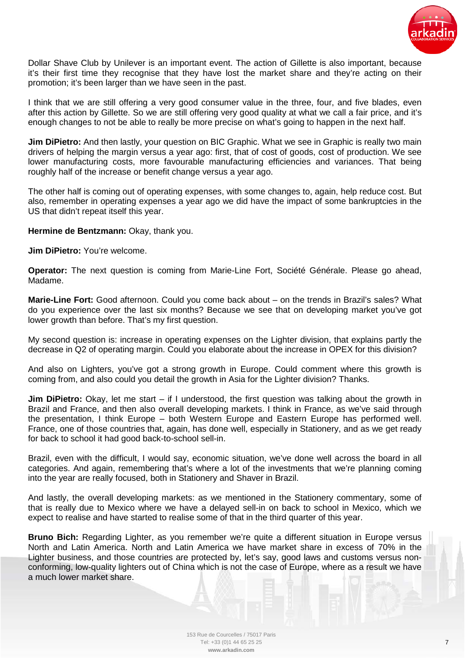

Dollar Shave Club by Unilever is an important event. The action of Gillette is also important, because it's their first time they recognise that they have lost the market share and they're acting on their promotion; it's been larger than we have seen in the past.

I think that we are still offering a very good consumer value in the three, four, and five blades, even after this action by Gillette. So we are still offering very good quality at what we call a fair price, and it's enough changes to not be able to really be more precise on what's going to happen in the next half.

**Jim DiPietro:** And then lastly, your question on BIC Graphic. What we see in Graphic is really two main drivers of helping the margin versus a year ago: first, that of cost of goods, cost of production. We see lower manufacturing costs, more favourable manufacturing efficiencies and variances. That being roughly half of the increase or benefit change versus a year ago.

The other half is coming out of operating expenses, with some changes to, again, help reduce cost. But also, remember in operating expenses a year ago we did have the impact of some bankruptcies in the US that didn't repeat itself this year.

Hermine de Bentzmann: Okay, thank you.

**Jim DiPietro:** You're welcome.

**Operator:** The next question is coming from Marie-Line Fort, Société Générale. Please go ahead, Madame.

**Marie-Line Fort:** Good afternoon. Could you come back about – on the trends in Brazil's sales? What do you experience over the last six months? Because we see that on developing market you've got lower growth than before. That's my first question.

My second question is: increase in operating expenses on the Lighter division, that explains partly the decrease in Q2 of operating margin. Could you elaborate about the increase in OPEX for this division?

And also on Lighters, you've got a strong growth in Europe. Could comment where this growth is coming from, and also could you detail the growth in Asia for the Lighter division? Thanks.

**Jim DiPietro:** Okay, let me start – if I understood, the first question was talking about the growth in Brazil and France, and then also overall developing markets. I think in France, as we've said through the presentation, I think Europe – both Western Europe and Eastern Europe has performed well. France, one of those countries that, again, has done well, especially in Stationery, and as we get ready for back to school it had good back-to-school sell-in.

Brazil, even with the difficult, I would say, economic situation, we've done well across the board in all categories. And again, remembering that's where a lot of the investments that we're planning coming into the year are really focused, both in Stationery and Shaver in Brazil.

And lastly, the overall developing markets: as we mentioned in the Stationery commentary, some of that is really due to Mexico where we have a delayed sell-in on back to school in Mexico, which we expect to realise and have started to realise some of that in the third quarter of this year.

**Bruno Bich:** Regarding Lighter, as you remember we're quite a different situation in Europe versus North and Latin America. North and Latin America we have market share in excess of 70% in the Lighter business, and those countries are protected by, let's say, good laws and customs versus nonconforming, low-quality lighters out of China which is not the case of Europe, where as a result we have a much lower market share.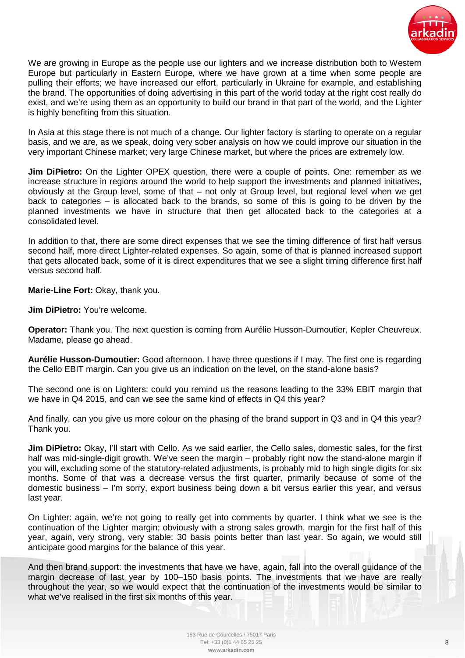

We are growing in Europe as the people use our lighters and we increase distribution both to Western Europe but particularly in Eastern Europe, where we have grown at a time when some people are pulling their efforts; we have increased our effort, particularly in Ukraine for example, and establishing the brand. The opportunities of doing advertising in this part of the world today at the right cost really do exist, and we're using them as an opportunity to build our brand in that part of the world, and the Lighter is highly benefiting from this situation.

In Asia at this stage there is not much of a change. Our lighter factory is starting to operate on a regular basis, and we are, as we speak, doing very sober analysis on how we could improve our situation in the very important Chinese market; very large Chinese market, but where the prices are extremely low.

**Jim DiPietro:** On the Lighter OPEX question, there were a couple of points. One: remember as we increase structure in regions around the world to help support the investments and planned initiatives, obviously at the Group level, some of that – not only at Group level, but regional level when we get back to categories – is allocated back to the brands, so some of this is going to be driven by the planned investments we have in structure that then get allocated back to the categories at a consolidated level.

In addition to that, there are some direct expenses that we see the timing difference of first half versus second half, more direct Lighter-related expenses. So again, some of that is planned increased support that gets allocated back, some of it is direct expenditures that we see a slight timing difference first half versus second half.

**Marie-Line Fort:** Okay, thank you.

**Jim DiPietro:** You're welcome.

**Operator:** Thank you. The next question is coming from Aurélie Husson-Dumoutier, Kepler Cheuvreux. Madame, please go ahead.

**Aurélie Husson-Dumoutier:** Good afternoon. I have three questions if I may. The first one is regarding the Cello EBIT margin. Can you give us an indication on the level, on the stand-alone basis?

The second one is on Lighters: could you remind us the reasons leading to the 33% EBIT margin that we have in Q4 2015, and can we see the same kind of effects in Q4 this year?

And finally, can you give us more colour on the phasing of the brand support in Q3 and in Q4 this year? Thank you.

**Jim DiPietro:** Okay, I'll start with Cello. As we said earlier, the Cello sales, domestic sales, for the first half was mid-single-digit growth. We've seen the margin – probably right now the stand-alone margin if you will, excluding some of the statutory-related adjustments, is probably mid to high single digits for six months. Some of that was a decrease versus the first quarter, primarily because of some of the domestic business – I'm sorry, export business being down a bit versus earlier this year, and versus last year.

On Lighter: again, we're not going to really get into comments by quarter. I think what we see is the continuation of the Lighter margin; obviously with a strong sales growth, margin for the first half of this year, again, very strong, very stable: 30 basis points better than last year. So again, we would still anticipate good margins for the balance of this year.

And then brand support: the investments that have we have, again, fall into the overall guidance of the margin decrease of last year by 100–150 basis points. The investments that we have are really throughout the year, so we would expect that the continuation of the investments would be similar to what we've realised in the first six months of this year.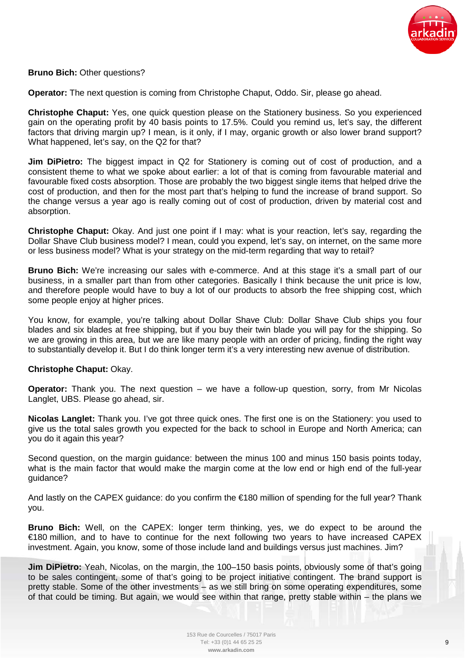

## **Bruno Bich:** Other questions?

**Operator:** The next question is coming from Christophe Chaput, Oddo. Sir, please go ahead.

**Christophe Chaput:** Yes, one quick question please on the Stationery business. So you experienced gain on the operating profit by 40 basis points to 17.5%. Could you remind us, let's say, the different factors that driving margin up? I mean, is it only, if I may, organic growth or also lower brand support? What happened, let's say, on the Q2 for that?

**Jim DiPietro:** The biggest impact in Q2 for Stationery is coming out of cost of production, and a consistent theme to what we spoke about earlier: a lot of that is coming from favourable material and favourable fixed costs absorption. Those are probably the two biggest single items that helped drive the cost of production, and then for the most part that's helping to fund the increase of brand support. So the change versus a year ago is really coming out of cost of production, driven by material cost and absorption.

**Christophe Chaput:** Okay. And just one point if I may: what is your reaction, let's say, regarding the Dollar Shave Club business model? I mean, could you expend, let's say, on internet, on the same more or less business model? What is your strategy on the mid-term regarding that way to retail?

**Bruno Bich:** We're increasing our sales with e-commerce. And at this stage it's a small part of our business, in a smaller part than from other categories. Basically I think because the unit price is low, and therefore people would have to buy a lot of our products to absorb the free shipping cost, which some people enjoy at higher prices.

You know, for example, you're talking about Dollar Shave Club: Dollar Shave Club ships you four blades and six blades at free shipping, but if you buy their twin blade you will pay for the shipping. So we are growing in this area, but we are like many people with an order of pricing, finding the right way to substantially develop it. But I do think longer term it's a very interesting new avenue of distribution.

## **Christophe Chaput:** Okay.

**Operator:** Thank you. The next question – we have a follow-up question, sorry, from Mr Nicolas Langlet, UBS. Please go ahead, sir.

**Nicolas Langlet:** Thank you. I've got three quick ones. The first one is on the Stationery: you used to give us the total sales growth you expected for the back to school in Europe and North America; can you do it again this year?

Second question, on the margin guidance: between the minus 100 and minus 150 basis points today, what is the main factor that would make the margin come at the low end or high end of the full-year quidance?

And lastly on the CAPEX guidance: do you confirm the €180 million of spending for the full year? Thank you.

**Bruno Bich:** Well, on the CAPEX: longer term thinking, yes, we do expect to be around the €180 million, and to have to continue for the next following two years to have increased CAPEX investment. Again, you know, some of those include land and buildings versus just machines. Jim?

**Jim DiPietro:** Yeah, Nicolas, on the margin, the 100–150 basis points, obviously some of that's going to be sales contingent, some of that's going to be project initiative contingent. The brand support is pretty stable. Some of the other investments – as we still bring on some operating expenditures, some of that could be timing. But again, we would see within that range, pretty stable within – the plans we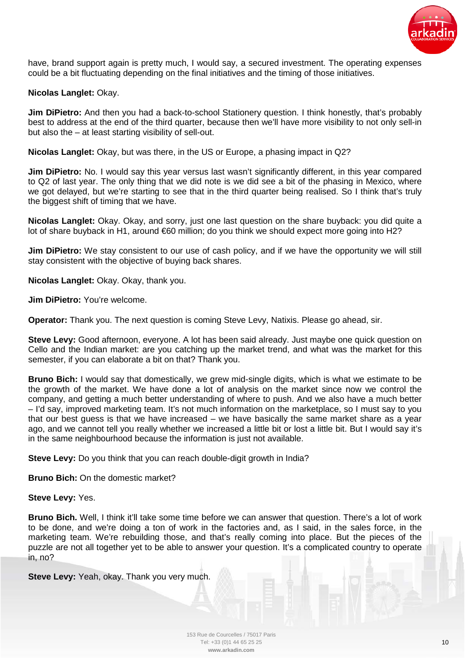

have, brand support again is pretty much, I would say, a secured investment. The operating expenses could be a bit fluctuating depending on the final initiatives and the timing of those initiatives.

## **Nicolas Langlet:** Okay.

**Jim DiPietro:** And then you had a back-to-school Stationery question. I think honestly, that's probably best to address at the end of the third quarter, because then we'll have more visibility to not only sell-in but also the – at least starting visibility of sell-out.

**Nicolas Langlet:** Okay, but was there, in the US or Europe, a phasing impact in Q2?

**Jim DiPietro:** No. I would say this year versus last wasn't significantly different, in this year compared to Q2 of last year. The only thing that we did note is we did see a bit of the phasing in Mexico, where we got delayed, but we're starting to see that in the third quarter being realised. So I think that's truly the biggest shift of timing that we have.

**Nicolas Langlet:** Okay. Okay, and sorry, just one last question on the share buyback: you did quite a lot of share buyback in H1, around €60 million; do you think we should expect more going into H2?

**Jim DiPietro:** We stay consistent to our use of cash policy, and if we have the opportunity we will still stay consistent with the objective of buying back shares.

**Nicolas Langlet:** Okay. Okay, thank you.

**Jim DiPietro:** You're welcome.

**Operator:** Thank you. The next question is coming Steve Levy, Natixis. Please go ahead, sir.

**Steve Levy:** Good afternoon, everyone. A lot has been said already. Just maybe one quick question on Cello and the Indian market: are you catching up the market trend, and what was the market for this semester, if you can elaborate a bit on that? Thank you.

**Bruno Bich:** I would say that domestically, we grew mid-single digits, which is what we estimate to be the growth of the market. We have done a lot of analysis on the market since now we control the company, and getting a much better understanding of where to push. And we also have a much better – I'd say, improved marketing team. It's not much information on the marketplace, so I must say to you that our best guess is that we have increased – we have basically the same market share as a year ago, and we cannot tell you really whether we increased a little bit or lost a little bit. But I would say it's in the same neighbourhood because the information is just not available.

**Steve Levy:** Do you think that you can reach double-digit growth in India?

**Bruno Bich:** On the domestic market?

**Steve Levy:** Yes.

**Bruno Bich.** Well, I think it'll take some time before we can answer that question. There's a lot of work to be done, and we're doing a ton of work in the factories and, as I said, in the sales force, in the marketing team. We're rebuilding those, and that's really coming into place. But the pieces of the puzzle are not all together yet to be able to answer your question. It's a complicated country to operate in, no?

**Steve Levy:** Yeah, okay. Thank you very much.